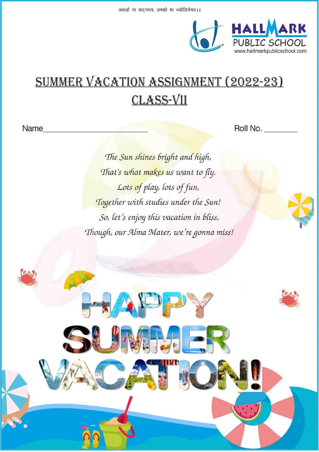

# **SUMMER VACATION ASSIGNMENT (2022-23) CLASS-VII**

Name

Roll No.

The Sun shines bright and high, That's what makes us want to fly. Lots of play, lots of fun, Together with studies under the Sun! So, let's enjoy this vacation in bliss, Though, our Alma Mater, we're gonna miss!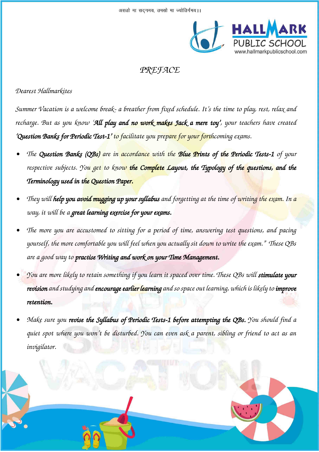

# *PREFACE*

### *Dearest Hallmarkites*

*Summer Vacation is a welcome break- a breather from fixed schedule. It's the time to play, rest, relax and recharge. But as you know 'All play and no work makes Jack a mere toy', your teachers have created 'Question Banks for Periodic Test-1' to facilitate you prepare for your forthcoming exams.* 

- *• The Question Banks (QBs) are in accordance with the Blue Prints of the Periodic Tests-1 of your respective subjects. You get to know the Complete Layout, the Typology of the questions, and the Terminology used in the Question Paper.*
- *• They will help you avoid mugging up your syllabus and forgetting at the time of writing the exam. In a way, it will be a great learning exercise for your exams.*
- *• The more you are accustomed to sitting for a period of time, answering test questions, and pacing yourself, the more comfortable you will feel when you actually sit down to write the exam." These QBs are a good way to practise Writing and work on your Time Management.*
- *• You are more likely to retain something if you learn it spaced over time. These QBs will stimulate your revision and studying and encourage earlier learning and so space out learning, which is likely to improve retention.*
- *• Make sure you revise the Syllabus of Periodic Tests-1 before attempting the QBs. You should find a quiet spot where you won't be disturbed. You can even ask a parent, sibling or friend to act as an invigilator.*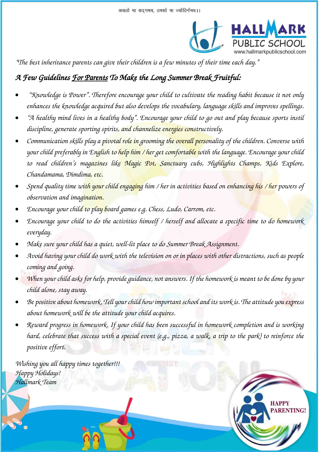

**RENTING!** 

*"The best inheritance parents can give their children is a few minutes of their time each day."*

# *A Few Guidelines For Parents To Make the Long Summer Break Fruitful:*

- *"Knowledge is Power". Therefore encourage your child to cultivate the reading habit because it not only enhances the knowledge acquired but also develops the vocabulary, language skills and improves spellings.*
- *"A healthy mind lives in a healthy body". Encourage your child to go out and play because sports instil discipline, generate sporting spirits, and channelize energies constructively.*
- *Communication skills play a pivotal role in grooming the overall personality of the children. Converse with your child preferably in English to help him / her get comfortable with the language. Encourage your child to read children's magazines like Magic Pot, Sanctuary cubs, Highlights Champs, Kids Explore, Chandamama, Dimdima, etc.*
- *Spend quality time with your child engaging him / her in activities based on enhancing his / her powers of observation and imagination.*
- *Encourage your child to play board games e.g. Chess, Ludo, Carrom, etc.*
- *Encourage your child to do the activities himself / herself and allocate a specific time to do homework everyday.*
- *Make sure your child has a quiet, well-lit place to do Summer Break Assignment.*
- *Avoid having your child do work with the television on or in places with other distractions, such as people coming and going.*
- *When your child asks for help, provide guidance, not answers. If the homework is meant to be done by your child alone, stay away.*
- *Be positive about homework. Tell your child how important school and its work is. The attitude you express about homework will be the attitude your child acquires.*
- *Reward progress in homework. If your child has been successful in homework completion and is working hard, celebrate that success with a special event (e.g., pizza, a walk, a trip to the park) to reinforce the positive effort.*

*Wishing you all happy times together!!! Happy Holidays! Hallmark Team* 

١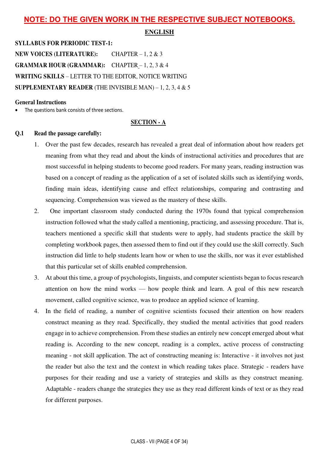### **NOTE: DO THE GIVEN WORK IN THE RESPECTIVE SUBJECT NOTEBOOKS.**

#### **ENGLISH**

**SYLLABUS FOR PERIODIC TEST-1: NEW VOICES (LITERATURE):** CHAPTER – 1, 2 & 3 **GRAMMAR HOUR (GRAMMAR):** CHAPTER – 1, 2, 3 & 4 **WRITING SKILLS** – LETTER TO THE EDITOR, NOTICE WRITING **SUPPLEMENTARY READER** (THE INVISIBLE MAN) – 1, 2, 3, 4  $\&$  5

#### **General Instructions**

The questions bank consists of three sections.

#### **SECTION - A**

#### **Q.1 Read the passage carefully:**

- 1. Over the past few decades, research has revealed a great deal of information about how readers get meaning from what they read and about the kinds of instructional activities and procedures that are most successful in helping students to become good readers. For many years, reading instruction was based on a concept of reading as the application of a set of isolated skills such as identifying words, finding main ideas, identifying cause and effect relationships, comparing and contrasting and sequencing. Comprehension was viewed as the mastery of these skills.
- 2. One important classroom study conducted during the 1970s found that typical comprehension instruction followed what the study called a mentioning, practicing, and assessing procedure. That is, teachers mentioned a specific skill that students were to apply, had students practice the skill by completing workbook pages, then assessed them to find out if they could use the skill correctly. Such instruction did little to help students learn how or when to use the skills, nor was it ever established that this particular set of skills enabled comprehension.
- 3. At about this time, a group of psychologists, linguists, and computer scientists began to focus research attention on how the mind works — how people think and learn. A goal of this new research movement, called cognitive science, was to produce an applied science of learning.
- 4. In the field of reading, a number of cognitive scientists focused their attention on how readers construct meaning as they read. Specifically, they studied the mental activities that good readers engage in to achieve comprehension. From these studies an entirely new concept emerged about what reading is. According to the new concept, reading is a complex, active process of constructing meaning - not skill application. The act of constructing meaning is: Interactive - it involves not just the reader but also the text and the context in which reading takes place. Strategic - readers have purposes for their reading and use a variety of strategies and skills as they construct meaning. Adaptable - readers change the strategies they use as they read different kinds of text or as they read for different purposes.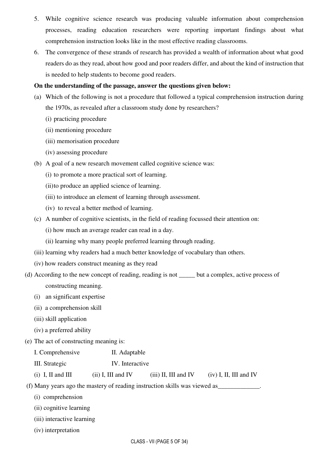- 5. While cognitive science research was producing valuable information about comprehension processes, reading education researchers were reporting important findings about what comprehension instruction looks like in the most effective reading classrooms.
- 6. The convergence of these strands of research has provided a wealth of information about what good readers do as they read, about how good and poor readers differ, and about the kind of instruction that is needed to help students to become good readers.

#### **On the understanding of the passage, answer the questions given below:**

- (a) Which of the following is not a procedure that followed a typical comprehension instruction during the 1970s, as revealed after a classroom study done by researchers?
	- (i) practicing procedure
	- (ii) mentioning procedure
	- (iii) memorisation procedure
	- (iv) assessing procedure
- (b) A goal of a new research movement called cognitive science was:
	- (i) to promote a more practical sort of learning.
	- (ii) to produce an applied science of learning.
	- (iii) to introduce an element of learning through assessment.
	- (iv) to reveal a better method of learning.
- (c) A number of cognitive scientists, in the field of reading focussed their attention on:
	- (i) how much an average reader can read in a day.
	- (ii) learning why many people preferred learning through reading.
- (iii) learning why readers had a much better knowledge of vocabulary than others.
- (iv) how readers construct meaning as they read
- (d) According to the new concept of reading, reading is not \_\_\_\_\_ but a complex, active process of constructing meaning.
	- (i) an significant expertise
	- (ii) a comprehension skill
	- (iii) skill application
	- (iv) a preferred ability
- (e) The act of constructing meaning is:

| I. Comprehensive | II. Adaptable   |
|------------------|-----------------|
| III. Strategic   | IV. Interactive |
|                  |                 |

(i) I, II and III (ii) I, III and IV (iii) II, III and IV (iv) I, II, III and IV

(f) Many years ago the mastery of reading instruction skills was viewed as\_\_\_\_\_\_\_\_\_\_\_\_\_.

- (i) comprehension
- (ii) cognitive learning
- (iii) interactive learning
- (iv) interpretation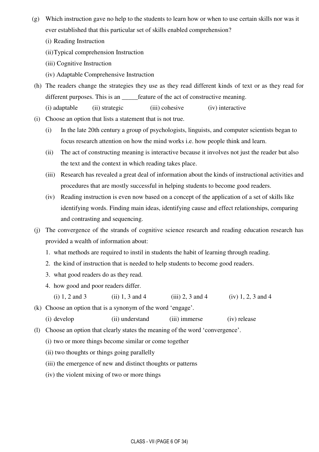- (g) Which instruction gave no help to the students to learn how or when to use certain skills nor was it ever established that this particular set of skills enabled comprehension?
	- (i) Reading Instruction
	- (ii) Typical comprehension Instruction
	- (iii) Cognitive Instruction
	- (iv) Adaptable Comprehensive Instruction
- (h) The readers change the strategies they use as they read different kinds of text or as they read for different purposes. This is an \_\_\_\_\_feature of the act of constructive meaning.
	- (i) adaptable (ii) strategic (iii) cohesive (iv) interactive
- (i) Choose an option that lists a statement that is not true.
	- (i) In the late 20th century a group of psychologists, linguists, and computer scientists began to focus research attention on how the mind works i.e. how people think and learn.
	- (ii) The act of constructing meaning is interactive because it involves not just the reader but also the text and the context in which reading takes place.
	- (iii) Research has revealed a great deal of information about the kinds of instructional activities and procedures that are mostly successful in helping students to become good readers.
	- (iv) Reading instruction is even now based on a concept of the application of a set of skills like identifying words. Finding main ideas, identifying cause and effect relationships, comparing and contrasting and sequencing.
- (j) The convergence of the strands of cognitive science research and reading education research has provided a wealth of information about:
	- 1. what methods are required to instil in students the habit of learning through reading.
	- 2. the kind of instruction that is needed to help students to become good readers.
	- 3. what good readers do as they read.
	- 4. how good and poor readers differ.
		- (i) 1, 2 and 3 (ii) 1, 3 and 4 (iii) 2, 3 and 4 (iv) 1, 2, 3 and 4
- (k) Choose an option that is a synonym of the word 'engage'.
	- (i) develop (ii) understand (iii) immerse (iv) release
- (l) Choose an option that clearly states the meaning of the word 'convergence'.
	- (i) two or more things become similar or come together
	- (ii) two thoughts or things going parallelly
	- (iii) the emergence of new and distinct thoughts or patterns
	- (iv) the violent mixing of two or more things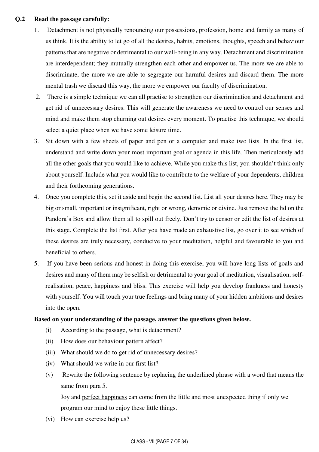#### **Q.2 Read the passage carefully:**

- 1. Detachment is not physically renouncing our possessions, profession, home and family as many of us think. It is the ability to let go of all the desires, habits, emotions, thoughts, speech and behaviour patterns that are negative or detrimental to our well-being in any way. Detachment and discrimination are interdependent; they mutually strengthen each other and empower us. The more we are able to discriminate, the more we are able to segregate our harmful desires and discard them. The more mental trash we discard this way, the more we empower our faculty of discrimination.
- 2. There is a simple technique we can all practise to strengthen our discrimination and detachment and get rid of unnecessary desires. This will generate the awareness we need to control our senses and mind and make them stop churning out desires every moment. To practise this technique, we should select a quiet place when we have some leisure time.
- 3. Sit down with a few sheets of paper and pen or a computer and make two lists. In the first list, understand and write down your most important goal or agenda in this life. Then meticulously add all the other goals that you would like to achieve. While you make this list, you shouldn't think only about yourself. Include what you would like to contribute to the welfare of your dependents, children and their forthcoming generations.
- 4. Once you complete this, set it aside and begin the second list. List all your desires here. They may be big or small, important or insignificant, right or wrong, demonic or divine. Just remove the lid on the Pandora's Box and allow them all to spill out freely. Don't try to censor or edit the list of desires at this stage. Complete the list first. After you have made an exhaustive list, go over it to see which of these desires are truly necessary, conducive to your meditation, helpful and favourable to you and beneficial to others.
- 5. If you have been serious and honest in doing this exercise, you will have long lists of goals and desires and many of them may be selfish or detrimental to your goal of meditation, visualisation, selfrealisation, peace, happiness and bliss. This exercise will help you develop frankness and honesty with yourself. You will touch your true feelings and bring many of your hidden ambitions and desires into the open.

#### **Based on your understanding of the passage, answer the questions given below.**

- (i) According to the passage, what is detachment?
- (ii) How does our behaviour pattern affect?
- (iii) What should we do to get rid of unnecessary desires?
- (iv) What should we write in our first list?
- (v) Rewrite the following sentence by replacing the underlined phrase with a word that means the same from para 5.

 Joy and perfect happiness can come from the little and most unexpected thing if only we program our mind to enjoy these little things.

(vi) How can exercise help us?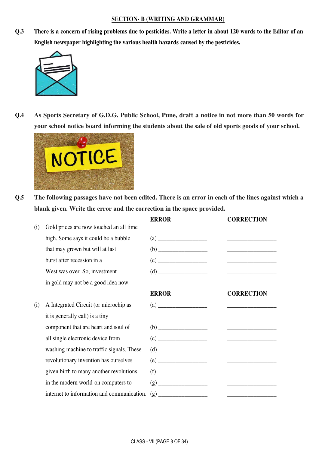#### **SECTION- B (WRITING AND GRAMMAR)**

**Q.3 There is a concern of rising problems due to pesticides. Write a letter in about 120 words to the Editor of an English newspaper highlighting the various health hazards caused by the pesticides.** 



**Q.4 As Sports Secretary of G.D.G. Public School, Pune, draft a notice in not more than 50 words for your school notice board informing the students about the sale of old sports goods of your school.** 



**Q.5 The following passages have not been edited. There is an error in each of the lines against which a blank given. Write the error and the correction in the space provided.** 

|     |                                            | <b>ERROR</b>                                                                                                                                                                                                                                                                                                                                                                                   | <b>CORRECTION</b>                                           |
|-----|--------------------------------------------|------------------------------------------------------------------------------------------------------------------------------------------------------------------------------------------------------------------------------------------------------------------------------------------------------------------------------------------------------------------------------------------------|-------------------------------------------------------------|
| (i) | Gold prices are now touched an all time    |                                                                                                                                                                                                                                                                                                                                                                                                |                                                             |
|     | high. Some says it could be a bubble       |                                                                                                                                                                                                                                                                                                                                                                                                |                                                             |
|     | that may grown but will at last            |                                                                                                                                                                                                                                                                                                                                                                                                |                                                             |
|     | burst after recession in a                 |                                                                                                                                                                                                                                                                                                                                                                                                |                                                             |
|     | West was over. So, investment              | $(d) \begin{tabular}{ c c c c } \hline \rule{0.3cm}{.01cm} & \rule{0.3cm}{.01cm} \multicolumn{3}{c }{\textbf{(d)}} & \multicolumn{3}{c }{\textbf{(e)}} \\ \hline \rule{0.3cm}{.01cm} & \rule{0.3cm}{.01cm} & \rule{0.3cm}{.01cm} & \rule{0.3cm}{.01cm} & \rule{0.3cm}{.01cm} & \rule{0.3cm}{.01cm} & \rule{0.3cm}{.01cm} & \rule{0.3cm}{.01cm} & \rule{0.3cm}{.01cm} & \rule{0.3cm}{.$         |                                                             |
|     | in gold may not be a good idea now.        |                                                                                                                                                                                                                                                                                                                                                                                                |                                                             |
|     |                                            | <b>ERROR</b>                                                                                                                                                                                                                                                                                                                                                                                   | <b>CORRECTION</b>                                           |
| (i) | A Integrated Circuit (or microchip as      | $\left( \text{a)} \right)$ and $\left( \text{b)} \right)$ and $\left( \text{b)} \right)$ and $\left( \text{b)} \right)$ and $\left( \text{b)} \right)$ and $\left( \text{b)} \right)$ and $\left( \text{b)} \right)$ and $\left( \text{b)} \right)$ and $\left( \text{b)} \right)$ and $\left( \text{b)} \right)$ and $\left( \text{b)} \right)$ and $\left( \text{b)} \right)$ and $\left( \$ |                                                             |
|     | it is generally call) is a tiny            |                                                                                                                                                                                                                                                                                                                                                                                                |                                                             |
|     | component that are heart and soul of       |                                                                                                                                                                                                                                                                                                                                                                                                | <u> 1986 - Johann Barn, mars and de Brasilian (b. 1986)</u> |
|     | all single electronic device from          |                                                                                                                                                                                                                                                                                                                                                                                                |                                                             |
|     | washing machine to traffic signals. These  |                                                                                                                                                                                                                                                                                                                                                                                                |                                                             |
|     | revolutionary invention has ourselves      | (e)                                                                                                                                                                                                                                                                                                                                                                                            |                                                             |
|     | given birth to many another revolutions    |                                                                                                                                                                                                                                                                                                                                                                                                | <u> 1980 - Jan Samuel Barbara, martin d</u>                 |
|     | in the modern world-on computers to        |                                                                                                                                                                                                                                                                                                                                                                                                |                                                             |
|     | internet to information and communication. |                                                                                                                                                                                                                                                                                                                                                                                                |                                                             |
|     |                                            |                                                                                                                                                                                                                                                                                                                                                                                                |                                                             |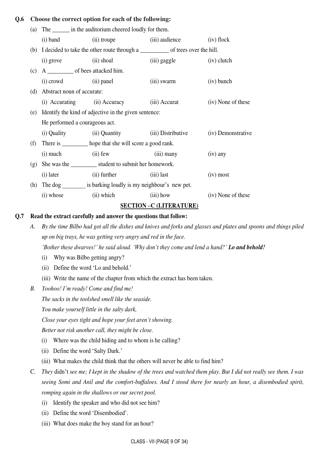#### **Q.6 Choose the correct option for each of the following:**

| (a) | The ________ in the auditorium cheered loudly for them.         |                                                            |                                                                                                                                                                                                                                                                                                                                                                                                                                 |                    |  |
|-----|-----------------------------------------------------------------|------------------------------------------------------------|---------------------------------------------------------------------------------------------------------------------------------------------------------------------------------------------------------------------------------------------------------------------------------------------------------------------------------------------------------------------------------------------------------------------------------|--------------------|--|
|     | $(i)$ band                                                      |                                                            | (ii) troupe (iii) audience                                                                                                                                                                                                                                                                                                                                                                                                      | $(iv)$ flock       |  |
|     |                                                                 |                                                            |                                                                                                                                                                                                                                                                                                                                                                                                                                 |                    |  |
|     | $(i)$ grove                                                     | $(ii)$ shoal                                               | (iii) gaggle (iv) clutch                                                                                                                                                                                                                                                                                                                                                                                                        |                    |  |
| (c) | A _______________ of bees attacked him.                         |                                                            |                                                                                                                                                                                                                                                                                                                                                                                                                                 |                    |  |
|     | (i) crowd (ii) panel                                            |                                                            | (iii) swarm                                                                                                                                                                                                                                                                                                                                                                                                                     | $(iv)$ bunch       |  |
| (d) | Abstract noun of accurate:                                      |                                                            |                                                                                                                                                                                                                                                                                                                                                                                                                                 |                    |  |
|     |                                                                 | (i) Accurating (ii) Accuracy (iii) Accurat                 |                                                                                                                                                                                                                                                                                                                                                                                                                                 | (iv) None of these |  |
| (e) | Identify the kind of adjective in the given sentence:           |                                                            |                                                                                                                                                                                                                                                                                                                                                                                                                                 |                    |  |
|     | He performed a courageous act.                                  |                                                            |                                                                                                                                                                                                                                                                                                                                                                                                                                 |                    |  |
|     |                                                                 | (i) Quality (ii) Quantity (iii) Distributive               |                                                                                                                                                                                                                                                                                                                                                                                                                                 | (iv) Demonstrative |  |
| (f) |                                                                 | There is ___________ hope that she will score a good rank. |                                                                                                                                                                                                                                                                                                                                                                                                                                 |                    |  |
|     | $(i)$ much $(ii)$ few                                           |                                                            | (iii) many                                                                                                                                                                                                                                                                                                                                                                                                                      | $(iv)$ any         |  |
| (g) |                                                                 | She was the ____________ student to submit her homework.   |                                                                                                                                                                                                                                                                                                                                                                                                                                 |                    |  |
|     | $(i)$ later                                                     | (ii) further                                               | (iii) last                                                                                                                                                                                                                                                                                                                                                                                                                      | $(iv)$ most        |  |
| (h) | The dog __________ is barking loudly is my neighbour's new pet. |                                                            |                                                                                                                                                                                                                                                                                                                                                                                                                                 |                    |  |
|     | $(i)$ whose                                                     | $(iii)$ how<br>(ii) which                                  |                                                                                                                                                                                                                                                                                                                                                                                                                                 | (iv) None of these |  |
|     |                                                                 |                                                            | $C_{\mathbf{L}} C_{\mathbf{L}} C_{\mathbf{L}} C_{\mathbf{L}} C_{\mathbf{L}} C_{\mathbf{L}} C_{\mathbf{L}} C_{\mathbf{L}} C_{\mathbf{L}} C_{\mathbf{L}} C_{\mathbf{L}} C_{\mathbf{L}} C_{\mathbf{L}} C_{\mathbf{L}} C_{\mathbf{L}} C_{\mathbf{L}} C_{\mathbf{L}} C_{\mathbf{L}} C_{\mathbf{L}} C_{\mathbf{L}} C_{\mathbf{L}} C_{\mathbf{L}} C_{\mathbf{L}} C_{\mathbf{L}} C_{\mathbf{L}} C_{\mathbf{L}} C_{\mathbf{L}} C_{\math$ |                    |  |

#### **SECTION –C (LITERATURE)**

#### **Q.7 Read the extract carefully and answer the questions that follow:**

- *A. By the time Bilbo had got all the dishes and knives and forks and glasses and plates and spoons and things piled up on big trays, he was getting very angry and red in the face.* 'Bother these dwarves!' he said aloud. 'Why don't they come and lend a hand?' **Lo and behold!** 
	- (i) Why was Bilbo getting angry?
	- (ii) Define the word 'Lo and behold.'
	- (iii) Write the name of the chapter from which the extract has been taken.
- *B. Yoohoo! I'm ready! Come and find me!*

*The sacks in the toolshed smell like the seaside.* 

*You make yourself little in the salty dark,* 

*Close your eyes tight and hope your feet aren't showing.* 

*Better not risk another call, they might be close.* 

- (i) Where was the child hiding and to whom is he calling?
- (ii) Define the word 'Salty Dark.'
- (iii) What makes the child think that the others will never be able to find him?
- C. *They* didn't *see me; I kept in the shadow of the trees and watched them play. But I did not really see them. I was seeing Somi and Anil and the comfort-buffaloes. And I stood there for nearly an hour, a disembodied spirit, romping again in the shallows or our secret pool.*
	- (i) Identify the speaker and who did not see him?
	- (ii) Define the word 'Disembodied'.
	- (iii) What does make the boy stand for an hour?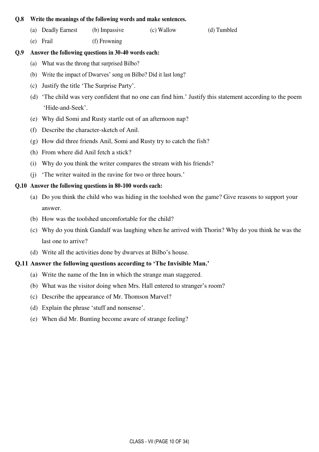#### **Q.8 Write the meanings of the following words and make sentences.**

- (a) Deadly Earnest (b) Impassive (c) Wallow (d) Tumbled
- (e) Frail (f) Frowning

#### **Q.9 Answer the following questions in 30-40 words each:**

- (a) What was the throng that surprised Bilbo?
- (b) Write the impact of Dwarves' song on Bilbo? Did it last long?
- (c) Justify the title 'The Surprise Party'.
- (d) 'The child was very confident that no one can find him.' Justify this statement according to the poem 'Hide-and-Seek'.
- (e) Why did Somi and Rusty startle out of an afternoon nap?
- (f) Describe the character-sketch of Anil.
- (g) How did three friends Anil, Somi and Rusty try to catch the fish?
- (h) From where did Anil fetch a stick?
- (i) Why do you think the writer compares the stream with his friends?
- (j) 'The writer waited in the ravine for two or three hours.'

### **Q.10 Answer the following questions in 80-100 words each:**

- (a) Do you think the child who was hiding in the toolshed won the game? Give reasons to support your answer.
- (b) How was the toolshed uncomfortable for the child?
- (c) Why do you think Gandalf was laughing when he arrived with Thorin? Why do you think he was the last one to arrive?
- (d) Write all the activities done by dwarves at Bilbo's house.

#### **Q.11 Answer the following questions according to 'The Invisible Man.'**

- (a) Write the name of the Inn in which the strange man staggered.
- (b) What was the visitor doing when Mrs. Hall entered to stranger's room?
- (c) Describe the appearance of Mr. Thomson Marvel?
- (d) Explain the phrase 'stuff and nonsense'.
- (e) When did Mr. Bunting become aware of strange feeling?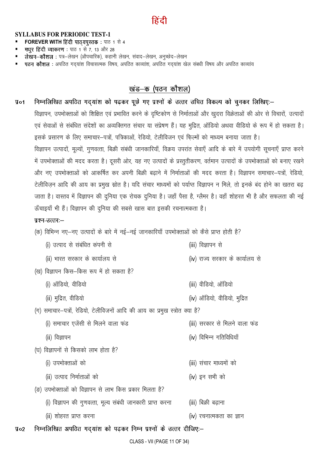#### **SYLLABUS FOR PERIODIC TEST-1**

- FOREVER WITH हिंदी पाठ्यपुस्तक : पाठ 1 से 4
- मधुर हिंदी व्याकरण: पाठ 1 से 7, 13 और 28
- लेखन-कौशल : पत्र-लेखन (औपचारिक), कहानी लेखन, संवाद-लेखन, अनुच्छेद-लेखन
- पठन कौशल : अपठित गदयांश विचासत्मक विषय, अपठित काव्यांश, अपठित गदयांश खेल संबधी विषय और अपठित काव्यांय

#### खंड–क (पठन कौशल)

निम्नलिखित अपठित गद्यांश को पढ़कर पूछे गए प्रश्नों के उत्तर उचित विकल्प को चुनकर लिखिए:–  $Jq$ o1 विज्ञापन, उपभोक्ताओं को शिक्षित एवं प्रभावित करने के दृष्टिकोण से निर्माताओं और खुदरा विक्रेताओं की ओर से विचारों, उत्पादों एवं सेवाओं से संबंधित संदेशों का अव्यक्तिगत संचार या संप्रेषण हैं। यह मुद्रित, ऑडियो अथवा वीडियो के रूप में हो सकता है। इसके प्रसारण के लिए समाचार–पत्रों, पत्रिकाओं, रेडियो, टेलीविजन एवं फिल्मों को माध्यम बनाया जाता है। विज्ञापन उत्पादों, मूल्यों, गुणवत्ता, बिक्री संबंधी जानकारियाँ, विक्रय उपरांत सेवाएँ आदि के बारे में उपयोगी सूचनाएँ प्राप्त करने में उपभोक्ताओं की मदद करता है। दूसरी ओर, यह नए उत्पादों के प्रस्तुतीकरण, वर्तमान उत्पादों के उपभोक्ताओं को बनाए रखने और नए उपभोक्ताओं को आकर्षित कर अपनी बिक्री बढाने में निर्माताओं की मदद करता है। विज्ञापन समाचार–पत्रों, रेडियो, टेलीविजन आदि की आय का प्रमुख स्रोत है। यदि संचार माध्यमों को पर्याप्त विज्ञापन न मिले, तो इनके बंद होने का खतरा बढ जाता है। वास्तव में विज्ञापन की दुनिया एक रोचक दुनिया है। जहाँ पैसा है, ग्लैमर है। वहाँ शोहरत भी है और सफलता की नई ऊँचाइयाँ भी हैं। विज्ञापन की दुनिया की सबसे खास बात इसकी रचनात्मकता है।

#### प्रश्न-उत्तरः-

- (क) विभिन्न नए-नए उत्पादों के बारे में नई-नई जानकारियाँ उपभोक्ताओं को कैसे प्राप्त होती है?
	- (i) उत्पाद से संबंधित कंपनी से (iii) विज्ञापन से (ii) भारत सरकार के कार्यालय से (iv) राज्य सरकार के कार्यालय से
- (ख) विज्ञापन किस–किस रूप में हो सकता है?
	- (i) ऑडियो, वीडियो
	- (ii) मुद्रित, वीडियो
- (iii) वीडियो, ऑडियो
- (iv) ऑडियो, वीडियो, मुद्रित

(iv) विभिन्न गतिविधियाँ

- (ग) समाचार-पत्रों, रेडियो, टेलीविजनों आदि की आय का प्रमुख स्त्रोत क्या है?
	- (i) समाचार एजेंसी से मिलने वाला फंड (iii) सरकार से मिलने वाला फंड
	- (ii) विज्ञापन
- (घ) विज्ञापनों से किसको लाभ होता है?
	- (i) उपभोक्ताओं को (iii) संचार माध्यमों को
	- (ii) उत्पाद निर्माताओं को (iv) इन सभी को
- (ङ) उपभोक्ताओं को विज्ञापन से लाभ किस प्रकार मिलता है?
	- (i) विज्ञापन की गुणवत्ता, मूल्य संबंधी जानकारी प्राप्त करना (iii) बिक्री बढाना
	- (ii) शोहरत प्राप्त करना (iv) रचनात्मकता का ज्ञान
- निम्नलिखित अपठित गद्यांश को पढ़कर निम्न प्रश्नों के उत्तर दीजिए:–  $\sqrt{4}$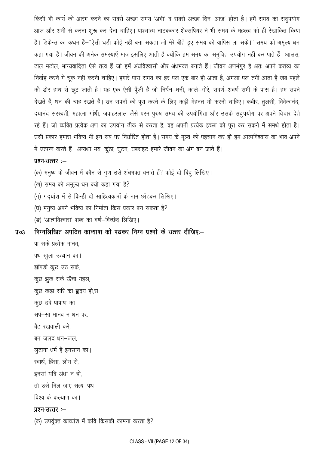किसी भी कार्य को आरंभ करने का सबसे अच्छा समय 'अभी' व सबसे अच्छा दिन 'आज' होता है। हमें समय का सदुपयोग आज और अभी से करना शुरू कर देना चाहिए। पाश्चात्य नाटककार शेक्सपियर ने भी समय के महत्त्व को ही रेखांकित किया है। डिकेन्स का कथन है–''ऐसी घड़ी कोई नहीं बना सकता जो मेरे बीते हुए समय को वापिस ला सके।'' समय को अमृल्य धन कहा गया है। जीवन की अनेक समस्याएँ मात्र इसलिए आती हैं क्योंकि हम समय का समुचित उपयोग नहीं कर पाते हैं। आलस, टाल मटोल, भाग्यवादिता ऐसे तत्व हैं जो हमें अंधविश्वासी और अंधभक्त बनाते हैं। जीवन क्षणभंगूर है अतः अपने कर्तव्य का निर्वाह करने में चूक नहीं करनी चाहिए। हमारे पास समय का हर पल एक बार ही आता है, अगला पल तभी आता है जब पहले की डोर हाथ से छूट जाती है। यह एक ऐसी पूँजी है जो निर्धन–धनी, काले–गोरे, सवर्ण–अवर्ण सभी के पास है। हम सपने देखते हैं, धन की चाह रखते हैं। उन सपनों को पूरा करने के लिए कड़ी मेहनत भी करनी चाहिए। कबीर, तुलसी, विवेकानंद, दयानंद सरस्वती, महात्मा गांधी, जवाहरलाल जैसे परम पुरुष समय की उपयोगिता और उसके सदुपयोग पर अपने विचार देते रहे हैं। जो व्यक्ति प्रत्येक क्षण का उपयोग ठीक से करता है, वह अपनी प्रत्येक इच्छा को पूरा कर सकने में समर्थ होता है। उसी प्रकार हमारा भविष्य भी इन सब पर निर्धारित होता है। समय के मूल्य को पहचान कर ही हम आत्मविश्वास का भाव अपने में उत्पन्न करते हैं। अन्यथा भय, कुंठा, घुटन, घबराहट हमारे जीवन का अंग बन जाते हैं।

#### प्रश्न-उत्तर:-

- (क) मनुष्य के जीवन में कौन से गुण उसे अंधभक्त बनाते हैं? कोई दो बिंदु लिखिए।
- (ख) समय को अमूल्य धन क्यों कहा गया है?
- (ग) गदयांश में से किन्ही दो साहित्यकारों के नाम छाँटकर लिखिए।
- (घ) मनुष्य अपने भविष्य का निर्माता किस प्रकार बन सकता है?
- (ङ) 'आत्मविश्वास' शब्द का वर्ण-विच्छेद लिखिए।

निम्नलिखित अपठित काव्यांश को पढकर निम्न प्रश्नों के उत्तर दीजिए:- $\P$ 03

पा सके प्रत्येक मानव. पथ खुला उत्थान का। झोंपड़ी कुछ उठ सके, कुछ झुक सके ऊँचा महल, कुछ कड़ा सरि का **हृ**दय हो,स कुछ द्रवे पाषाण का। सर्प-सा मानव न धन पर बैत रखवाली करे बन जलद धन-जल. लुटाना धर्म है इनसान का। स्वार्थ, हिंसा, लोभ से, इनसां यदि अंधा न हो तो उसे मिल जाए सत्य-पथ विश्व के कल्याण का। प्रश्न-उत्तर :-(क) उपर्युक्त काव्यांश में कवि किसकी कामना करता है?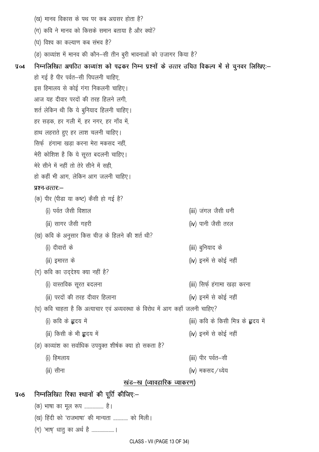(ख) मानव विकास के पथ पर कब अग्रसर होता है? (ग) कवि ने मानव को किसके समान बताया है और क्यों? (घ) विश्व का कल्याण कब संभव है? (ङ) काव्यांश में मानव की कौन-सी तीन बुरी भावनाओं को उजागर किया है? निम्नलिखित अपठित काव्यांश को पढ़कर निम्न प्रश्नों के उत्तर उचित विकल्प में से चुनवर लिखिए:- $$94$ हो गई है पीर पर्वत–सी पिघलनी चाहिए, इस हिमालय से कोई गंगा निकलनी चाहिए। आज यह दीवार परदों की तरह हिलने लगी. शर्त लेकिन थी कि ये बुनियाद हिलनी चाहिए। हर सड़क, हर गली में, हर नगर, हर गाँव में, हाथ लहराते हुए हर लाश चलनी चाहिए। सिर्फ हंगामा खड़ा करना मेरा मकसद नहीं मेरी कोशिश है कि ये सूरत बदलनी चाहिए। मेरे सीने में नहीं तो तेरे सीने में सही. हो कहीं भी आग, लेकिन आग जलनी चाहिए। प्रश्न-उत्तरः— (क) पीर (पीड़ा या कष्ट) कैसी हो गई है? (i) पर्वत जैसी विशाल (iii) जंगल जैसी धनी (ii) सागर जैसी गहरी (iv) पानी जैसी तरल (ख) कवि के अनुसार किस चीज़ के हिलने की शर्त थी? (i) दीवारों के (iii) बुनियाद के (iv) इनमें से कोई नहीं (ii) इमारत के (ग) कवि का उद्देश्य क्या नहीं है? (i) वास्तविक सूरत बदलना (iii) सिर्फ़ हंगामा खड़ा करना (ii) परदों की तरह दीवार हिलाना (iv) इनमें से कोई नहीं (घ) कवि चाहता है कि अत्याचार एवं अव्यवस्था के विरोध में आग कहाँ जलनी चाहिए? (i) कवि के **हृ**दय में (iii) कवि के किसी मित्र के हृदय में (ii) किसी के भी **हृ**दय में (iv) इनमें से कोई नहीं (ङ) काव्यांश का सर्वाधिक उपयुक्त शीर्षक क्या हो सकता है? (iii) पीर पर्वत-सी (i) हिमलाय (ii) सीना (iv) मकसद /ध्येय खंड-ख (व्यावहारिक व्याकरण) निम्नलिखित रिक्त स्थानों की पूर्ति कीजिए:- $\sqrt{4}$ (क) भाषा का मूल रूप ................. है। (ख) हिंदी को 'राजभाषा' की मान्यता ............. को मिली। (ग) 'भाष' धातू का अर्थ है .................... ।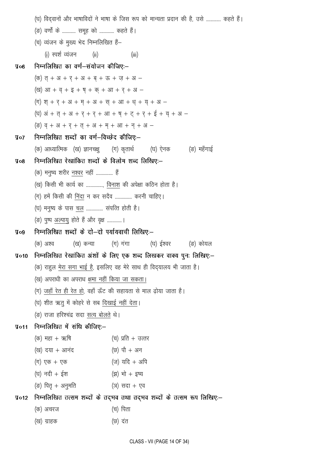|                | (घ) विद्वानों और भाषाविदों ने भाषा के जिस रूप को मान्यता प्रदान की है, उसे  कहते हैं। |                                                                                       |  |  |  |
|----------------|---------------------------------------------------------------------------------------|---------------------------------------------------------------------------------------|--|--|--|
|                | (ङ) वर्णों के  समूह को  कहते हैं।                                                     |                                                                                       |  |  |  |
|                | (च) व्यंजन के मुख्य भेद निम्नलिखित हैं–                                               |                                                                                       |  |  |  |
|                | (i) स्पर्श व्यंजन (ii)                                                                | (iii)                                                                                 |  |  |  |
| $\sqrt{4}$     | निम्नलिखित का वर्ण—संयोजन कीजिए:—                                                     |                                                                                       |  |  |  |
|                | (क) त् + अ + र् + अ + ब् + ऊ + ज़ + अ -                                               |                                                                                       |  |  |  |
|                | $(g)$ आ + व् + इ + ष् + क् + आ + र् + अ -                                             |                                                                                       |  |  |  |
|                | (ग) श् + र् + अ + म् + अ + स् + आ + ध् + य् + अ -                                     |                                                                                       |  |  |  |
|                |                                                                                       | $(E)$ अं + त् + अ + र् + र् + आ + ष् + ट् + र् + ई + य + अ -                          |  |  |  |
|                | $($ ड) व् + अ + र् + त् + अ + म् + आ + न् + अ -                                       |                                                                                       |  |  |  |
| $\sqrt{q}$     | निम्नलिखित शब्दों का वर्ण–विच्छेद कीजिए:–                                             |                                                                                       |  |  |  |
|                |                                                                                       | (क) आध्यात्मिक (ख) ज्ञानचक्षु    (ग) कृतार्थ       (घ) ऐनक       (ङ) महँगाई           |  |  |  |
| $y_{08}$       | निम्नलिखित रेखांकित शब्दों के विलोम शब्द लिखिए:—                                      |                                                                                       |  |  |  |
|                | (क) मनुष्य शरीर <u>नश्वर</u> नहीं  हैं                                                |                                                                                       |  |  |  |
|                | (ख) किसी भी कार्य का , <u>विनाश</u> की अपेक्षा कठिन होता है।                          |                                                                                       |  |  |  |
|                | (ग) हमें किसी की <u>निंदा</u> न कर सदैव  करनी चाहिए।                                  |                                                                                       |  |  |  |
|                | (घ) मनुष्य के पास <u>चल</u> संपत्ति होती है।                                          |                                                                                       |  |  |  |
|                | (ङ) पुष्प <u>अल्पायु</u> होते हैं और वृक्ष ।                                          |                                                                                       |  |  |  |
| $\Psi$ og      | निम्नलिखित शब्दों के दो—दो पर्यायवाची लिखिए:—                                         |                                                                                       |  |  |  |
|                | (क) अश्व                                                                              | (ख) कन्या       (ग) गंगा         (घ) ईश्वर         (ङ) कोयल                           |  |  |  |
| $\sqrt{4}$ 010 |                                                                                       | निम्नलिखित रेखांकित अंशों के लिए एक शब्द लिखकर वाक्य पुनः लिखिए:-                     |  |  |  |
|                |                                                                                       | (क) राहुल <u>मेरा सगा भाई है</u> , इसलिए वह मेरे साथ ही विद् <b>यालय भी जाता है</b> । |  |  |  |
|                | (ख) अपराधी का अपराध क्षमा नहीं किया जा सकता।                                          |                                                                                       |  |  |  |
|                |                                                                                       | (ग) जहाँ रेत ही रेत हो, वहाँ ऊँट की सहायता से माल ढ़ोया जाता है।                      |  |  |  |
|                | (घ) शीत ऋतु में कोहरे से सब <u>दिखाई नहीं देता</u> ।                                  |                                                                                       |  |  |  |
|                | (ङ) राजा हरिश्चंद्र सदा सत्य बोलते थे।                                                |                                                                                       |  |  |  |
| \$011          | निम्नलिखित में संधि कीजिए:—                                                           |                                                                                       |  |  |  |
|                | (क) महा + ऋषि                                                                         | (च) प्रति + उत्तर                                                                     |  |  |  |
|                | (ख) दया + आनंद                                                                        | (छ) पौ + अन                                                                           |  |  |  |
|                | (ग) एक + एक                                                                           | $(\overline{u})$ यदि + अपि                                                            |  |  |  |
|                | (घ) नदी + ईश                                                                          | (झ) भो + इष्य                                                                         |  |  |  |
|                | (ङ) पितृ + अनुमति                                                                     | (ञ) सदा + एव                                                                          |  |  |  |
| $\sqrt{4}$ 012 |                                                                                       | निम्नलिखित तत्सम शब्दों के तद्भव तथा तद्भव शब्दों के तत्सम रूप लिखिए:–                |  |  |  |
|                | (क) अचरज                                                                              | (च) पिता                                                                              |  |  |  |
|                | (ख) ग्राहक                                                                            | (छ) दंत                                                                               |  |  |  |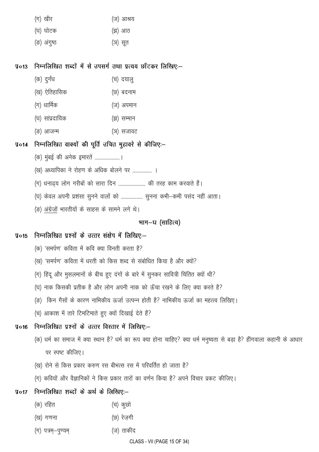| (ग) खीर | (ज) आश्रय |
|---------|-----------|
|---------|-----------|

- (घ) घोटक (झ) आठ
- (ङ) अंगुष्ठ (ञ) सूत

निम्नलिखित शब्दों में से उपसर्ग तथा प्रत्यय छाँटकर लिखिए:–  $\Psi$ o13

- (क) दुर्गंध (च) दयालु
- (ख) ऐतिहासिक (छ) बदनाम
- (ग) धार्मिक (ज) अपमान
- (घ) सांप्रदायिक (झ) सम्मान
- (ङ) आजन्म (ञ) सजावट

#### निम्नलिखित वाक्यों की पूर्ति उचित मुहावरे से कीजिए:–  $\sqrt{4}$

- (क) मुंबई की अनेक इमारतें ...................... ।
- (ख) अध्यापिका ने रोहण के अधिक बोलने पर .................. ।
- (ग) धनाढ्य लोग गरीबों को सारा दिन ......................... की तरह काम करवाते हैं।
- (घ) केवल अपनी प्रशंसा सूनने वालों को ................... सुनना कभी-कभी पसंद नहीं आता।
- (ङ) अंग्रेजों भारतीयों के साहस के सामने लगे थे।

## भाग-घ (साहित्य)

#### निम्नलिखित प्रश्नों के उत्तर संक्षेप में लिखिए:- $\sqrt{4}$ o15

- (क) 'समर्पण' कविता में कवि क्या विनती करता है?
- (ख) 'समर्पण' कविता में धरती को किस शब्द से संबोधित किया है और क्यों?
- (ग) हिंदू और मुसलमानों के बीच हुए दंगों के बारे में सुनकर सावित्री चिंतित क्यों थी?
- (घ) नाक किसकी प्रतीक है और लोग अपनी नाक को ऊँचा रखने के लिए क्या करते है?
- (ङ) किन गैसों के कारण नाभिकीय ऊर्जा उत्पन्न होती है? नाभिकीय ऊर्जा का महत्त्व लिखिए।
- (च) आकाश में तारे टिमटिमाते हुए क्यों दिखाई देते हैं?

#### निम्नलिखित पृश्नों के उत्तर विस्तार में लिखिए:- $\sqrt{4}$

- (क) धर्म का समाज में क्या स्थान है? धर्म का रूप क्या होना चाहिए? क्या धर्म मनुष्यता से बड़ा है? हींगवाला कहानी के आधार पर स्पष्ट कीजिए।
- (ख) रोने से किस प्रकार करुण रस बीभत्स रस में परिवर्तित हो जाता है?
- (ग) कवियों और वैज्ञानिकों ने किस प्रकार तारों का वर्णन किया है? अपने विचार प्रकट कीजिए।

#### निम्नलिखित शब्दों के अर्थ के लिखिए:- $\sqrt{4}$

- (क) रहित (च) कूछो
- (छ) रेज़गी (ख) गणना
- (ग) पत्रम्—पुण्यम् (ज) ताकीद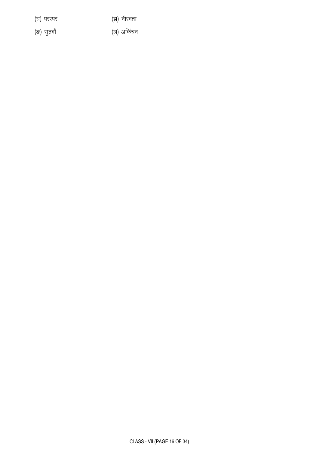CLASS - VII (PAGE 16 OF 34)

(ङ) सुतवाँ

(घ) परस्पर

(झ) नीरवता

(ञ) अकिंचन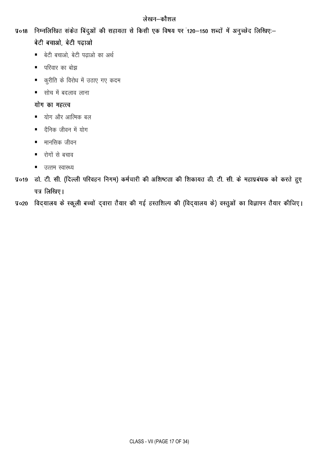# लेखन–कौशल

- प्र०18 निम्नलिखित संकेत बिंदुओं की सहायता से किसी एक विषय पर 120–150 शब्दों में अनुच्छेद लिखिए:– बेटी बचाओ, बेटी पढ़ाओ
	- बेटी बचाओ, बेटी पढाओ का अर्थ
	- परिवार का बोझ
	- कुरीति के विरोध में उठाए गए कदम  $\blacksquare$
	- सोच में बदलाव लाना  $\blacksquare$

# योग का महत्त्व

- योग और आत्मिक बल  $\blacksquare$
- दैनिक जीवन में योग
- मानसिक जीवन  $\blacksquare$
- रोगों से बचाव
- उत्तम स्वास्थ्य
- प्र०19 डो. टी. सी. (दिल्ली परिवहन निगम) कर्मचारी की अशिष्टता की शिकायत डी. टी. सी. के महाप्रबंधक को करते हुए पत्र लिखिए।
- प्र०२० विदयालय के स्कूली बच्चों द्वारा तैयार की गई हस्तशिल्प की (विद्यालय के) वस्तुओं का विज्ञापन तैयार कीजिए।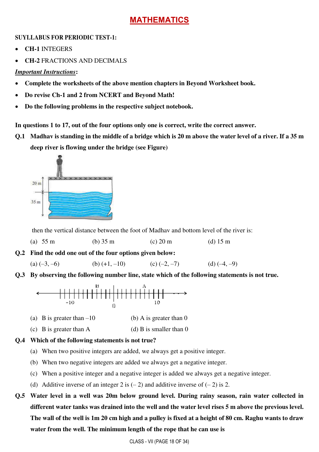# **MATHEMATICS**

### **SUYLLABUS FOR PERIODIC TEST-1:**

- **CH-1** INTEGERS
- **CH-2** FRACTIONS AND DECIMALS

### *Important Instructions***:**

- **Complete the worksheets of the above mention chapters in Beyond Worksheet book.**
- **Do revise Ch-1 and 2 from NCERT and Beyond Math!**
- **Do the following problems in the respective subject notebook.**

**In questions 1 to 17, out of the four options only one is correct, write the correct answer.** 

**Q.1 Madhav is standing in the middle of a bridge which is 20 m above the water level of a river. If a 35 m deep river is flowing under the bridge (see Figure)** 



then the vertical distance between the foot of Madhav and bottom level of the river is:

(a)  $55 \text{ m}$  (b)  $35 \text{ m}$  (c)  $20 \text{ m}$  (d)  $15 \text{ m}$ 

**Q.2 Find the odd one out of the four options given below:** 

(a)  $(-3, -6)$  (b)  $(+1, -10)$  (c)  $(-2, -7)$  (d)  $(-4, -9)$ 

**Q.3 By observing the following number line, state which of the following statements is not true.** 



- (a) B is greater than  $-10$  (b) A is greater than 0
- (c) B is greater than A (d) B is smaller than  $0$

### **Q.4 Which of the following statements is not true?**

- (a) When two positive integers are added, we always get a positive integer.
- (b) When two negative integers are added we always get a negative integer.
- (c) When a positive integer and a negative integer is added we always get a negative integer.
- (d) Additive inverse of an integer 2 is  $(-2)$  and additive inverse of  $(-2)$  is 2.
- **Q.5 Water level in a well was 20m below ground level. During rainy season, rain water collected in different water tanks was drained into the well and the water level rises 5 m above the previous level. The wall of the well is 1m 20 cm high and a pulley is fixed at a height of 80 cm. Raghu wants to draw water from the well. The minimum length of the rope that he can use is**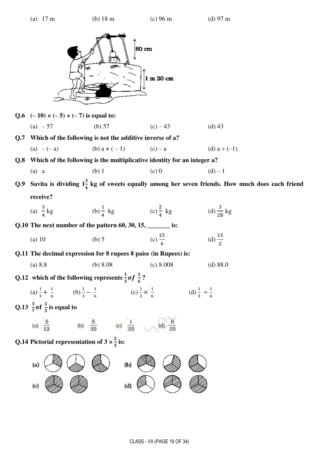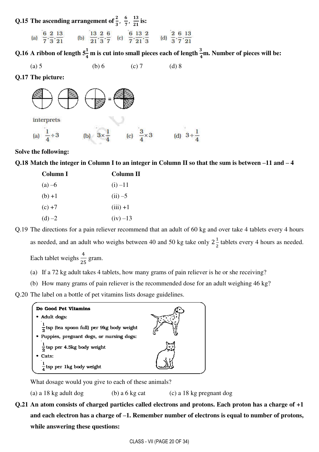Q.15 The ascending arrangement of  $\frac{2}{3}$ ,  $\frac{6}{7}$  $\frac{6}{7}, \frac{13}{21}$  $\frac{15}{21}$  is:

| 6 2 13                                                    | 13 2 6 6 13 2                                                                                                 | 2 6 13            |
|-----------------------------------------------------------|---------------------------------------------------------------------------------------------------------------|-------------------|
| (a) $\overline{7} \cdot \overline{3} \cdot \overline{21}$ | (b) $\frac{1}{21} \cdot \frac{1}{3} \cdot \frac{1}{7}$ (c) $\frac{1}{7} \cdot \frac{1}{21} \cdot \frac{1}{3}$ | (d) $3^{17}$ $21$ |

Q.16 A ribbon of length  $5\frac{1}{4}$  m is cut into small pieces each of length  $\frac{3}{4}$ m. Number of pieces will be:

(a) 5 (b) 6 (c) 7 (d) 8

**Q.17 The picture:** 



(c)  $\frac{3}{4} \times 3$  (d)  $3 \div \frac{1}{4}$ (a)  $\frac{1}{4} \div 3$ 

#### **Solve the following:**

**Q.18 Match the integer in Column I to an integer in Column II so that the sum is between –11 and – 4** 

| Column I | Column II  |
|----------|------------|
| $(a) -6$ | $(i) -11$  |
| $(b) +1$ | $(ii) -5$  |
| $(c) +7$ | $(iii) +1$ |
| $(d) -2$ | $(iv) -13$ |

Q.19 The directions for a pain reliever recommend that an adult of 60 kg and over take 4 tablets every 4 hours as needed, and an adult who weighs between 40 and 50 kg take only  $2\frac{1}{2}$  $\frac{1}{2}$  tablets every 4 hours as needed.

Each tablet weighs  $\frac{4}{31}$ 25 gram.

(a) If a 72 kg adult takes 4 tablets, how many grams of pain reliever is he or she receiving?

(b) How many grams of pain reliever is the recommended dose for an adult weighing 46 kg?

Q.20 The label on a bottle of pet vitamins lists dosage guidelines.



What dosage would you give to each of these animals?

(a) a 18 kg adult dog (b) a 6 kg cat (c) a 18 kg pregnant dog

**Q.21 An atom consists of charged particles called electrons and protons. Each proton has a charge of +1 and each electron has a charge of –1. Remember number of electrons is equal to number of protons, while answering these questions:**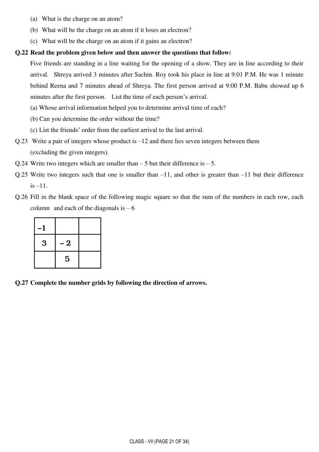- (a) What is the charge on an atom?
- (b) What will be the charge on an atom if it loses an electron?
- (c) What will be the charge on an atom if it gains an electron?

#### **Q.22 Read the problem given below and then answer the questions that follow:**

 Five friends are standing in a line waiting for the opening of a show. They are in line according to their arrival. Shreya arrived 3 minutes after Sachin. Roy took his place in line at 9:01 P.M. He was 1 minute behind Reena and 7 minutes ahead of Shreya. The first person arrived at 9:00 P.M. Babu showed up 6 minutes after the first person. List the time of each person's arrival.

- (a) Whose arrival information helped you to determine arrival time of each?
- (b) Can you determine the order without the time?
- (c) List the friends' order from the earliest arrival to the last arrival.
- Q.23 Write a pair of integers whose product is –12 and there lies seven integers between them (excluding the given integers).
- Q.24 Write two integers which are smaller than  $-5$  but their difference is  $-5$ .
- Q.25 Write two integers such that one is smaller than –11, and other is greater than –11 but their difference is –11.
- Q.26 Fill in the blank space of the following magic square so that the sum of the numbers in each row, each column and each of the diagonals is  $-6$

| 3 | $\bf{2}$<br>- |  |
|---|---------------|--|
|   | 5             |  |

**Q.27 Complete the number grids by following the direction of arrows.**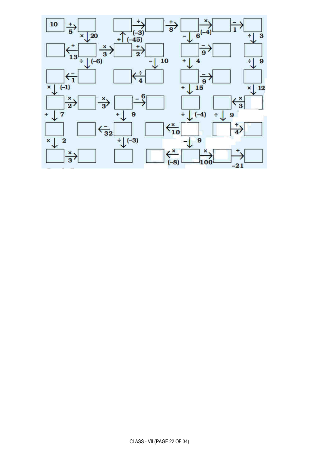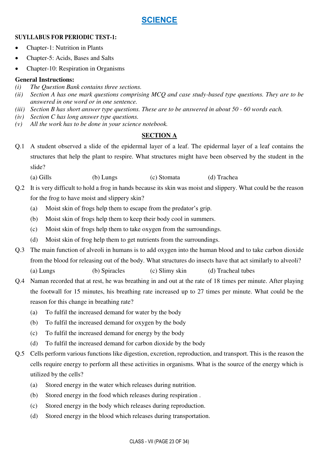# **SCIENCE**

#### **SUYLLABUS FOR PERIODIC TEST-1:**

- Chapter-1: Nutrition in Plants
- Chapter-5: Acids, Bases and Salts
- Chapter-10: Respiration in Organisms

#### **General Instructions:**

- *(i) The Question Bank contains three sections.*
- *(ii) Section A has one mark questions comprising MCQ and case study-based type questions. They are to be answered in one word or in one sentence.*
- *(iii) Section B has short answer type questions. These are to be answered in about 50 60 words each.*
- *(iv) Section C has long answer type questions.*
- *(v) All the work has to be done in your science notebook.*

### **SECTION A**

Q.1 A student observed a slide of the epidermal layer of a leaf. The epidermal layer of a leaf contains the structures that help the plant to respire. What structures might have been observed by the student in the slide?

(a) Gills (b) Lungs (c) Stomata (d) Trachea

- Q.2 It is very difficult to hold a frog in hands because its skin was moist and slippery. What could be the reason for the frog to have moist and slippery skin?
	- (a) Moist skin of frogs help them to escape from the predator's grip.
	- (b) Moist skin of frogs help them to keep their body cool in summers.
	- (c) Moist skin of frogs help them to take oxygen from the surroundings.
	- (d) Moist skin of frog help them to get nutrients from the surroundings.
- Q.3 The main function of alveoli in humans is to add oxygen into the human blood and to take carbon dioxide from the blood for releasing out of the body. What structures do insects have that act similarly to alveoli? (a) Lungs (b) Spiracles (c) Slimy skin (d) Tracheal tubes
- Q.4 Naman recorded that at rest, he was breathing in and out at the rate of 18 times per minute. After playing the footwall for 15 minutes, his breathing rate increased up to 27 times per minute. What could be the reason for this change in breathing rate?
	- (a) To fulfil the increased demand for water by the body
	- (b) To fulfil the increased demand for oxygen by the body
	- (c) To fulfil the increased demand for energy by the body
	- (d) To fulfil the increased demand for carbon dioxide by the body
- Q.5 Cells perform various functions like digestion, excretion, reproduction, and transport. This is the reason the cells require energy to perform all these activities in organisms. What is the source of the energy which is utilized by the cells?
	- (a) Stored energy in the water which releases during nutrition.
	- (b) Stored energy in the food which releases during respiration .
	- (c) Stored energy in the body which releases during reproduction.
	- (d) Stored energy in the blood which releases during transportation.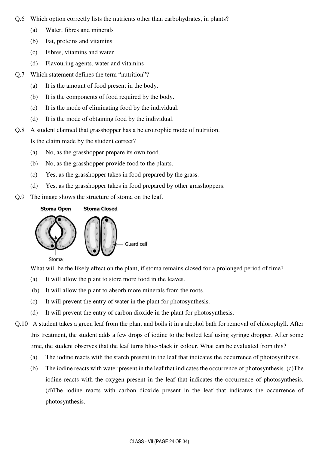- Q.6 Which option correctly lists the nutrients other than carbohydrates, in plants?
	- (a) Water, fibres and minerals
	- (b) Fat, proteins and vitamins
	- (c) Fibres, vitamins and water
	- (d) Flavouring agents, water and vitamins
- Q.7 Which statement defines the term "nutrition"?
	- (a) It is the amount of food present in the body.
	- (b) It is the components of food required by the body.
	- (c) It is the mode of eliminating food by the individual.
	- (d) It is the mode of obtaining food by the individual.
- Q.8 A student claimed that grasshopper has a heterotrophic mode of nutrition.

Is the claim made by the student correct?

- (a) No, as the grasshopper prepare its own food.
- (b) No, as the grasshopper provide food to the plants.
- (c) Yes, as the grasshopper takes in food prepared by the grass.
- (d) Yes, as the grasshopper takes in food prepared by other grasshoppers.
- Q.9 The image shows the structure of stoma on the leaf.

**Stoma Closed Stoma Open** 



What will be the likely effect on the plant, if stoma remains closed for a prolonged period of time?

- (a) It will allow the plant to store more food in the leaves.
- (b) It will allow the plant to absorb more minerals from the roots.
- (c) It will prevent the entry of water in the plant for photosynthesis.
- (d) It will prevent the entry of carbon dioxide in the plant for photosynthesis.
- Q.10 A student takes a green leaf from the plant and boils it in a alcohol bath for removal of chlorophyll. After this treatment, the student adds a few drops of iodine to the boiled leaf using syringe dropper. After some time, the student observes that the leaf turns blue-black in colour. What can be evaluated from this?
	- (a) The iodine reacts with the starch present in the leaf that indicates the occurrence of photosynthesis.
	- (b) The iodine reacts with water present in the leaf that indicates the occurrence of photosynthesis. (c)The iodine reacts with the oxygen present in the leaf that indicates the occurrence of photosynthesis. (d)The iodine reacts with carbon dioxide present in the leaf that indicates the occurrence of photosynthesis.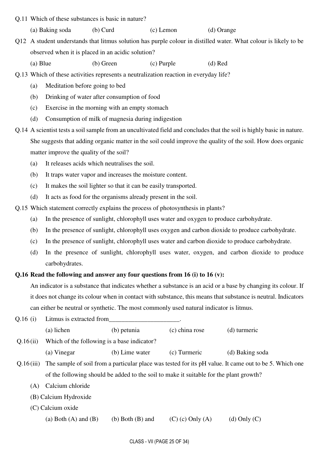Q.11 Which of these substances is basic in nature?

(a) Baking soda (b) Curd (c) Lemon (d) Orange

Q12 A student understands that litmus solution has purple colour in distilled water. What colour is likely to be observed when it is placed in an acidic solution?

(a) Blue (b) Green (c) Purple (d) Red

Q.13 Which of these activities represents a neutralization reaction in everyday life?

- (a) Meditation before going to bed
- (b) Drinking of water after consumption of food
- (c) Exercise in the morning with an empty stomach
- (d) Consumption of milk of magnesia during indigestion
- Q.14 A scientist tests a soil sample from an uncultivated field and concludes that the soil is highly basic in nature. She suggests that adding organic matter in the soil could improve the quality of the soil. How does organic matter improve the quality of the soil?
	- (a) It releases acids which neutralises the soil.
	- (b) It traps water vapor and increases the moisture content.
	- (c) It makes the soil lighter so that it can be easily transported.
	- (d) It acts as food for the organisms already present in the soil.
- Q.15 Which statement correctly explains the process of photosynthesis in plants?
	- (a) In the presence of sunlight, chlorophyll uses water and oxygen to produce carbohydrate.
	- (b) In the presence of sunlight, chlorophyll uses oxygen and carbon dioxide to produce carbohydrate.
	- (c) In the presence of sunlight, chlorophyll uses water and carbon dioxide to produce carbohydrate.
	- (d) In the presence of sunlight, chlorophyll uses water, oxygen, and carbon dioxide to produce carbohydrates.

#### **Q.16 Read the following and answer any four questions from 16 (i) to 16 (v):**

 An indicator is a substance that indicates whether a substance is an acid or a base by changing its colour. If it does not change its colour when in contact with substance, this means that substance is neutral. Indicators can either be neutral or synthetic. The most commonly used natural indicator is litmus.

| Q.16(i)<br>Litmus is extracted from |                                                                                        |                      |                  |                                                                                                        |
|-------------------------------------|----------------------------------------------------------------------------------------|----------------------|------------------|--------------------------------------------------------------------------------------------------------|
|                                     | (a) lichen                                                                             | (b) petunia          | (c) china rose   | (d) turmeric                                                                                           |
| Q.16(ii)                            | Which of the following is a base indicator?                                            |                      |                  |                                                                                                        |
|                                     | (a) Vinegar                                                                            | (b) Lime water       | (c) Turmeric     | (d) Baking soda                                                                                        |
| Q.16(iii)                           |                                                                                        |                      |                  | The sample of soil from a particular place was tested for its pH value. It came out to be 5. Which one |
|                                     | of the following should be added to the soil to make it suitable for the plant growth? |                      |                  |                                                                                                        |
| (A)                                 | Calcium chloride                                                                       |                      |                  |                                                                                                        |
|                                     | (B) Calcium Hydroxide                                                                  |                      |                  |                                                                                                        |
|                                     | (C) Calcium oxide                                                                      |                      |                  |                                                                                                        |
|                                     | (a) Both $(A)$ and $(B)$                                                               | $(b)$ Both $(B)$ and | $(c)$ Only $(A)$ | (d) Only $(C)$                                                                                         |
|                                     |                                                                                        |                      |                  |                                                                                                        |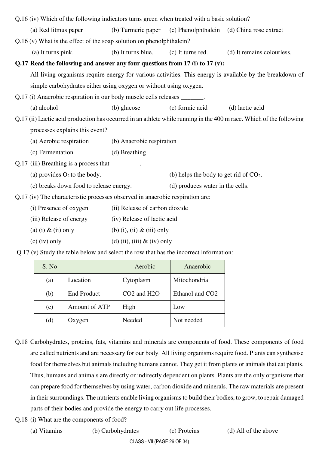| Q.16 (iv) Which of the following indicators turns green when treated with a basic solution? |                                                                                                                     |                                        |                                          |                            |  |  |
|---------------------------------------------------------------------------------------------|---------------------------------------------------------------------------------------------------------------------|----------------------------------------|------------------------------------------|----------------------------|--|--|
|                                                                                             | (a) Red litmus paper                                                                                                | (b) Turmeric paper (c) Phenolphthalein |                                          | (d) China rose extract     |  |  |
|                                                                                             | $Q.16$ (v) What is the effect of the soap solution on phenolphthale in?                                             |                                        |                                          |                            |  |  |
|                                                                                             | (a) It turns pink.                                                                                                  | (b) It turns blue.                     | (c) It turns red.                        | (d) It remains colourless. |  |  |
|                                                                                             | Q.17 Read the following and answer any four questions from 17 (i) to 17 (v):                                        |                                        |                                          |                            |  |  |
|                                                                                             | All living organisms require energy for various activities. This energy is available by the breakdown of            |                                        |                                          |                            |  |  |
|                                                                                             | simple carbohydrates either using oxygen or without using oxygen.                                                   |                                        |                                          |                            |  |  |
|                                                                                             | Q.17 (i) Anaerobic respiration in our body muscle cells releases _______.                                           |                                        |                                          |                            |  |  |
|                                                                                             | (a) alcohol                                                                                                         | (b) glucose                            | (c) formic acid                          | (d) lactic acid            |  |  |
|                                                                                             | Q.17 (ii) Lactic acid production has occurred in an athlete while running in the 400 m race. Which of the following |                                        |                                          |                            |  |  |
|                                                                                             | processes explains this event?                                                                                      |                                        |                                          |                            |  |  |
|                                                                                             | (a) Aerobic respiration                                                                                             | (b) Anaerobic respiration              |                                          |                            |  |  |
|                                                                                             | (c) Fermentation                                                                                                    | (d) Breathing                          |                                          |                            |  |  |
|                                                                                             | Q.17 (iii) Breathing is a process that _________.                                                                   |                                        |                                          |                            |  |  |
|                                                                                             | (a) provides $O_2$ to the body.                                                                                     |                                        | (b) helps the body to get rid of $CO2$ . |                            |  |  |
|                                                                                             | (c) breaks down food to release energy.                                                                             |                                        | (d) produces water in the cells.         |                            |  |  |
|                                                                                             | Q.17 (iv) The characteristic processes observed in anaerobic respiration are:                                       |                                        |                                          |                            |  |  |
|                                                                                             | (i) Presence of oxygen                                                                                              | (ii) Release of carbon dioxide         |                                          |                            |  |  |
|                                                                                             | (iii) Release of energy                                                                                             | (iv) Release of lactic acid            |                                          |                            |  |  |
|                                                                                             | (a) (i) $\&$ (ii) only                                                                                              | (b) (i), (ii) $\&$ (iii) only          |                                          |                            |  |  |
|                                                                                             | $(c)$ (iv) only                                                                                                     | (d) (ii), (iii) $&$ (iv) only          |                                          |                            |  |  |

Q.17 (v) Study the table below and select the row that has the incorrect information:

| S. No |                    | Aerobic                              | Anaerobic                   |
|-------|--------------------|--------------------------------------|-----------------------------|
| (a)   | Location           | Cytoplasm                            | Mitochondria                |
| (b)   | <b>End Product</b> | CO <sub>2</sub> and H <sub>2</sub> O | Ethanol and CO <sub>2</sub> |
| (c)   | Amount of ATP      | High                                 | Low                         |
| (d)   | Oxygen             | Needed                               | Not needed                  |

- Q.18 Carbohydrates, proteins, fats, vitamins and minerals are components of food. These components of food are called nutrients and are necessary for our body. All living organisms require food. Plants can synthesise food for themselves but animals including humans cannot. They get it from plants or animals that eat plants. Thus, humans and animals are directly or indirectly dependent on plants. Plants are the only organisms that can prepare food for themselves by using water, carbon dioxide and minerals. The raw materials are present in their surroundings. The nutrients enable living organisms to build their bodies, to grow, to repair damaged parts of their bodies and provide the energy to carry out life processes.
- Q.18 (i) What are the components of food?
	- (a) Vitamins (b) Carbohydrates (c) Proteins (d) All of the above

CLASS - VII (PAGE 26 OF 34)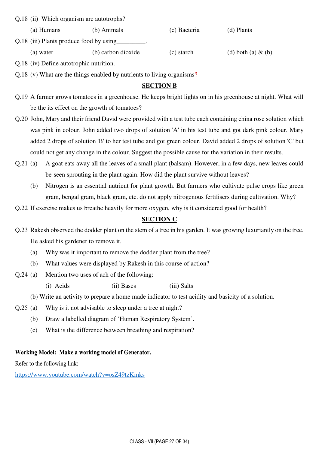Q.18 (ii) Which organism are autotrophs?

 (a) Humans (b) Animals (c) Bacteria (d) Plants Q.18 (iii) Plants produce food by using\_\_\_\_\_\_\_\_\_. (a) water (b) carbon dioxide (c) starch (d) both (a)  $\&$  (b)

Q.18 (iv) Define autotrophic nutrition.

Q.18 (v) What are the things enabled by nutrients to living organisms?

### **SECTION B**

- Q.19 A farmer grows tomatoes in a greenhouse. He keeps bright lights on in his greenhouse at night. What will be the its effect on the growth of tomatoes?
- Q.20 John, Mary and their friend David were provided with a test tube each containing china rose solution which was pink in colour. John added two drops of solution 'A' in his test tube and got dark pink colour. Mary added 2 drops of solution 'B' to her test tube and got green colour. David added 2 drops of solution 'C' but could not get any change in the colour. Suggest the possible cause for the variation in their results.
- Q.21 (a) A goat eats away all the leaves of a small plant (balsam). However, in a few days, new leaves could be seen sprouting in the plant again. How did the plant survive without leaves?
	- (b) Nitrogen is an essential nutrient for plant growth. But farmers who cultivate pulse crops like green gram, bengal gram, black gram, etc. do not apply nitrogenous fertilisers during cultivation. Why?
- Q.22 If exercise makes us breathe heavily for more oxygen, why is it considered good for health?

### **SECTION C**

- Q.23 Rakesh observed the dodder plant on the stem of a tree in his garden. It was growing luxuriantly on the tree. He asked his gardener to remove it.
	- (a) Why was it important to remove the dodder plant from the tree?
	- (b) What values were displayed by Rakesh in this course of action?
- Q.24 (a) Mention two uses of ach of the following:

(i) Acids (ii) Bases (iii) Salts

(b) Write an activity to prepare a home made indicator to test acidity and basicity of a solution.

- Q.25 (a) Why is it not advisable to sleep under a tree at night?
	- (b) Draw a labelled diagram of 'Human Respiratory System'.
	- (c) What is the difference between breathing and respiration?

#### **Working Model: Make a working model of Generator.**

Refer to the following link:

<https://www.youtube.com/watch?v=osZ49tzKmks>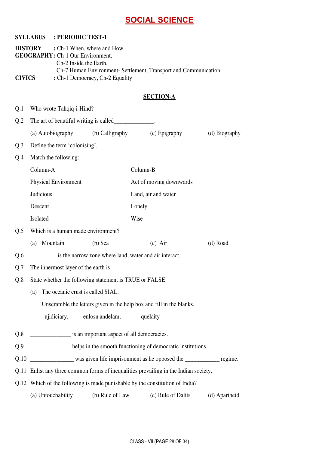# **SOCIAL SCIENCE**

|                                                                                                                                                                                                                                          |           |                                   |                                                         | <b>OUGIAL OUILIVUL</b>                                                               |               |
|------------------------------------------------------------------------------------------------------------------------------------------------------------------------------------------------------------------------------------------|-----------|-----------------------------------|---------------------------------------------------------|--------------------------------------------------------------------------------------|---------------|
|                                                                                                                                                                                                                                          |           | <b>SYLLABUS : PERIODIC TEST-1</b> |                                                         |                                                                                      |               |
| <b>HISTORY</b><br>: Ch-1 When, where and How<br><b>GEOGRAPHY: Ch-1 Our Environment,</b><br>Ch-2 Inside the Earth,<br>Ch-7 Human Environment- Settlement, Transport and Communication<br><b>CIVICS</b><br>: Ch-1 Democracy, Ch-2 Equality |           |                                   |                                                         |                                                                                      |               |
|                                                                                                                                                                                                                                          |           |                                   |                                                         | <b>SECTION-A</b>                                                                     |               |
| Q.1                                                                                                                                                                                                                                      |           | Who wrote Tahqiq-i-Hind?          |                                                         |                                                                                      |               |
| Q <sub>2</sub>                                                                                                                                                                                                                           |           |                                   |                                                         |                                                                                      |               |
|                                                                                                                                                                                                                                          |           | (a) Autobiography                 | (b) Calligraphy                                         | (c) Epigraphy                                                                        | (d) Biography |
| Q.3                                                                                                                                                                                                                                      |           | Define the term 'colonising'.     |                                                         |                                                                                      |               |
| Q.4                                                                                                                                                                                                                                      |           | Match the following:              |                                                         |                                                                                      |               |
|                                                                                                                                                                                                                                          | Column-A  |                                   |                                                         | Column-B                                                                             |               |
|                                                                                                                                                                                                                                          |           | <b>Physical Environment</b>       |                                                         | Act of moving downwards                                                              |               |
|                                                                                                                                                                                                                                          | Judicious |                                   |                                                         | Land, air and water                                                                  |               |
|                                                                                                                                                                                                                                          | Descent   |                                   |                                                         | Lonely                                                                               |               |
|                                                                                                                                                                                                                                          | Isolated  |                                   |                                                         | Wise                                                                                 |               |
| Q.5                                                                                                                                                                                                                                      |           |                                   | Which is a human made environment?                      |                                                                                      |               |
|                                                                                                                                                                                                                                          | (a)       | Mountain                          | (b) Sea                                                 | $(c)$ Air                                                                            | (d) Road      |
| Q.6                                                                                                                                                                                                                                      |           |                                   |                                                         | is the narrow zone where land, water and air interact.                               |               |
| Q.7                                                                                                                                                                                                                                      |           |                                   | The innermost layer of the earth is __________.         |                                                                                      |               |
| Q.8                                                                                                                                                                                                                                      |           |                                   | State whether the following statement is TRUE or FALSE: |                                                                                      |               |
|                                                                                                                                                                                                                                          | (a)       |                                   | The oceanic crust is called SIAL.                       |                                                                                      |               |
|                                                                                                                                                                                                                                          |           |                                   |                                                         | Unscramble the letters given in the help box and fill in the blanks.                 |               |
|                                                                                                                                                                                                                                          |           | ujidiciary,                       | enlosn andelam,                                         | quelaity                                                                             |               |
| Q.8                                                                                                                                                                                                                                      |           |                                   | is an important aspect of all democracies.              |                                                                                      |               |
| Q.9                                                                                                                                                                                                                                      |           |                                   |                                                         | <b>EXECUTE:</b> helps in the smooth functioning of democratic institutions.          |               |
| Q.10                                                                                                                                                                                                                                     |           |                                   |                                                         | was given life imprisonment as he opposed the _____________ regime.                  |               |
|                                                                                                                                                                                                                                          |           |                                   |                                                         | Q.11 Enlist any three common forms of inequalities prevailing in the Indian society. |               |
|                                                                                                                                                                                                                                          |           |                                   |                                                         | Q.12 Which of the following is made punishable by the constitution of India?         |               |
|                                                                                                                                                                                                                                          |           | (a) Untouchability                | (b) Rule of Law                                         | (c) Rule of Dalits                                                                   | (d) Apartheid |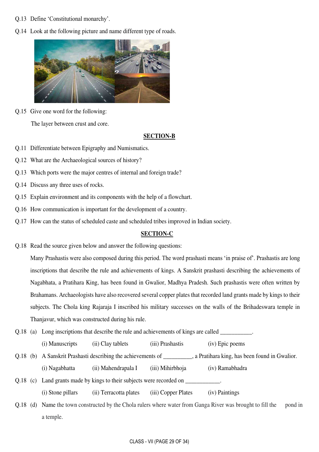- Q.13 Define 'Constitutional monarchy'.
- Q.14 Look at the following picture and name different type of roads.



Q.15 Give one word for the following:

The layer between crust and core.

#### **SECTION-B**

- Q.11 Differentiate between Epigraphy and Numismatics.
- Q.12 What are the Archaeological sources of history?
- Q.13 Which ports were the major centres of internal and foreign trade?
- Q.14 Discuss any three uses of rocks.
- Q.15 Explain environment and its components with the help of a flowchart.
- Q.16 How communication is important for the development of a country.
- Q.17 How can the status of scheduled caste and scheduled tribes improved in Indian society.

#### **SECTION-C**

Q.18 Read the source given below and answer the following questions:

Many Prashastis were also composed during this period. The word prashasti means 'in praise of'. Prashastis are long inscriptions that describe the rule and achievements of kings. A Sanskrit prashasti describing the achievements of Nagabhata, a Pratihara King, has been found in Gwalior, Madhya Pradesh. Such prashastis were often written by Brahamans. Archaeologists have also recovered several copper plates that recorded land grants made by kings to their subjects. The Chola king Rajaraja I inscribed his military successes on the walls of the Brihadeswara temple in Thanjavur, which was constructed during his rule.

Q.18 (a) Long inscriptions that describe the rule and achievements of kings are called

(i) Manuscripts (ii) Clay tablets (iii) Prashastis (iv) Epic poems

Q.18 (b) A Sanskrit Prashasti describing the achievements of , a Pratihara king, has been found in Gwalior.

(i) Nagabhatta (ii) Mahendrapala I (iii) Mihirbhoja (iv) Ramabhadra

Q.18 (c) Land grants made by kings to their subjects were recorded on

(i) Stone pillars (ii) Terracotta plates (iii) Copper Plates (iv) Paintings

Q.18 (d) Name the town constructed by the Chola rulers where water from Ganga River was brought to fill the pond in a temple.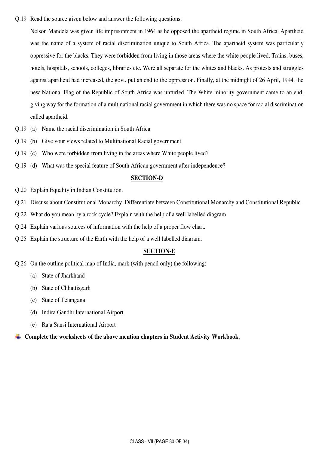Q.19 Read the source given below and answer the following questions:

Nelson Mandela was given life imprisonment in 1964 as he opposed the apartheid regime in South Africa. Apartheid was the name of a system of racial discrimination unique to South Africa. The apartheid system was particularly oppressive for the blacks. They were forbidden from living in those areas where the white people lived. Trains, buses, hotels, hospitals, schools, colleges, libraries etc. Were all separate for the whites and blacks. As protests and struggles against apartheid had increased, the govt. put an end to the oppression. Finally, at the midnight of 26 April, 1994, the new National Flag of the Republic of South Africa was unfurled. The White minority government came to an end, giving way for the formation of a multinational racial government in which there was no space for racial discrimination called apartheid.

- Q.19 (a) Name the racial discrimination in South Africa.
- Q.19 (b) Give your views related to Multinational Racial government.
- Q.19 (c) Who were forbidden from living in the areas where White people lived?
- Q.19 (d) What was the special feature of South African government after independence?

#### **SECTION-D**

- Q.20 Explain Equality in Indian Constitution.
- Q.21 Discuss about Constitutional Monarchy. Differentiate between Constitutional Monarchy and Constitutional Republic.
- Q.22 What do you mean by a rock cycle? Explain with the help of a well labelled diagram.
- Q.24 Explain various sources of information with the help of a proper flow chart.
- Q.25 Explain the structure of the Earth with the help of a well labelled diagram.

#### **SECTION-E**

- Q.26 On the outline political map of India, mark (with pencil only) the following:
	- (a) State of Jharkhand
	- (b) State of Chhattisgarh
	- (c) State of Telangana
	- (d) Indira Gandhi International Airport
	- (e) Raja Sansi International Airport

#### ÷ **Complete the worksheets of the above mention chapters in Student Activity Workbook.**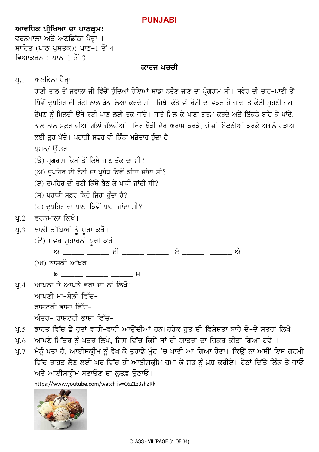# **PUNJABI**

# **ਆਵਧਿਕ ਪੀਖਿਆ ਦਾ ਪਾਠਕ੍ਰਮ:** ਵਰਨਮਾਲਾ ਅਤੇ ਅਣਡਿੱਠਾ ਪੈਰ<mark>਼ਾ</mark> । ਸਾਹਿਤ (ਪਾਠ ਪਸਤਕ): ਪਾਠ–1 ਤੋਂ 4 ਵਿਆਕਰਨ $:$  ਪਾਨ–1 ਤੋਂ 3

# ਕਾਰਜ ਪਰਚੀ



<https://www.youtube.com/watch?v=C6Z1z3shZRk>

ਅਤੇ ਆਈਸਕੀਮ ਬਣਾਓਣ ਦਾ ਲਤਫ਼ ਓਠਾਓ।

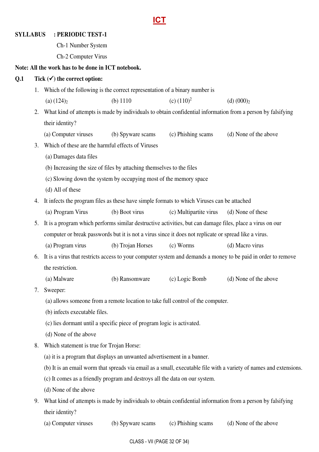# **ICT**

#### **SYLLABUS : PERIODIC TEST-1**

: Ch-1 Number System

: Ch-2 Computer Virus

#### **Note: All the work has to be done in ICT notebook.**

#### **Q.1 Tick () the correct option:**

- 1. Which of the following is the correct representation of a binary number is
	- (a)  $(124)_2$  (b) 1110 (c)  $(110)^2$  $(d)$   $(000)_2$
- 2. What kind of attempts is made by individuals to obtain confidential information from a person by falsifying their identity?
	- (a) Computer viruses (b) Spyware scams (c) Phishing scams (d) None of the above
- 3. Which of these are the harmful effects of Viruses
	- (a) Damages data files
	- (b) Increasing the size of files by attaching themselves to the files
	- (c) Slowing down the system by occupying most of the memory space
	- (d) All of these
- 4. It infects the program files as these have simple formats to which Viruses can be attached
	- (a) Program Virus (b) Boot virus (c) Multipartite virus (d) None of these
- 5. It is a program which performs similar destructive activities, but can damage files, place a virus on our computer or break passwords but it is not a virus since it does not replicate or spread like a virus.
	- (a) Program virus (b) Trojan Horses (c) Worms (d) Macro virus
- 6. It is a virus that restricts access to your computer system and demands a money to be paid in order to remove the restriction.
	- (a) Malware (b) Ransomware (c) Logic Bomb (d) None of the above
- 7. Sweeper:
	- (a) allows someone from a remote location to take full control of the computer.
	- (b) infects executable files.
	- (c) lies dormant until a specific piece of program logic is activated.
	- (d) None of the above
- 8. Which statement is true for Trojan Horse:
	- (a) it is a program that displays an unwanted advertisement in a banner.
	- (b) It is an email worm that spreads via email as a small, executable file with a variety of names and extensions.
	- (c) It comes as a friendly program and destroys all the data on our system.
	- (d) None of the above
- 9. What kind of attempts is made by individuals to obtain confidential information from a person by falsifying their identity?
	- (a) Computer viruses (b) Spyware scams (c) Phishing scams (d) None of the above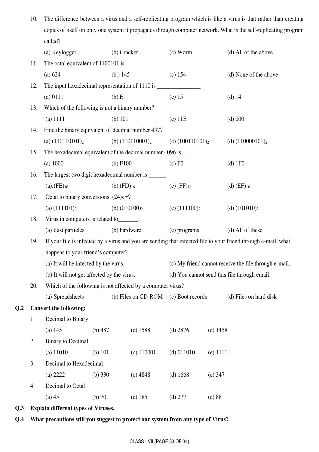| 10. | The difference between a virus and a self-replicating program which is like a virus is that rather than creating |
|-----|------------------------------------------------------------------------------------------------------------------|
|     | copies of itself on only one system it propagates through computer network. What is the self-replicating program |
|     | called?                                                                                                          |

|                |     | (a) Keylogger                                                 |                 | (b) Cracker                                           | $(c)$ Worm                                                                                                     |            | (d) All of the above     |  |
|----------------|-----|---------------------------------------------------------------|-----------------|-------------------------------------------------------|----------------------------------------------------------------------------------------------------------------|------------|--------------------------|--|
|                | 11. |                                                               |                 |                                                       |                                                                                                                |            |                          |  |
|                |     | (a) 624                                                       | (b.) $145$      |                                                       | $(c)$ 154                                                                                                      |            | (d) None of the above    |  |
|                | 12. |                                                               |                 |                                                       |                                                                                                                |            |                          |  |
|                |     | (a) 0111                                                      | $(b)$ E         |                                                       | $(c)$ 15                                                                                                       |            | (d) $14$                 |  |
|                | 13. | Which of the following is not a binary number?                |                 |                                                       |                                                                                                                |            |                          |  |
|                |     | $(a)$ 1111                                                    | (b) $101$       |                                                       | $(c)$ 11 $E$                                                                                                   |            | $(d)$ 000                |  |
|                | 14. | Find the binary equivalent of decimal number 437?             |                 |                                                       |                                                                                                                |            |                          |  |
|                |     | (a) $(110110101)_2$                                           |                 | (b) $(110110001)_2$<br>(c) $(100110101)_2$            |                                                                                                                |            | (d) $(110000101)_2$      |  |
|                | 15. | The hexadecimal equivalent of the decimal number 4096 is ___. |                 |                                                       |                                                                                                                |            |                          |  |
|                |     | (a) 1000                                                      | (b) F100        |                                                       | $(c)$ F <sub>0</sub>                                                                                           |            | $(d)$ 1F0                |  |
|                | 16. | The largest two digit hexadecimal number is ______            |                 |                                                       |                                                                                                                |            |                          |  |
|                |     | $(a).$ (FE) $_{16}$                                           | (b) $(FD)_{16}$ |                                                       | $(c)$ (FF) $_{16}$                                                                                             |            | $(d)$ (EF) <sub>16</sub> |  |
|                | 17. | Octal to binary conversions: $(24)_8$ =?                      |                 |                                                       |                                                                                                                |            |                          |  |
|                |     | (a) $(111101)_2$                                              |                 | (b) $(010100)_2$                                      | (c) $(111100)_{2}$                                                                                             |            | (d) $(101010)_2$         |  |
|                | 18. | Virus in computers is related to_______.                      |                 |                                                       |                                                                                                                |            |                          |  |
|                |     | (a) dust particles<br>(b) hardware                            |                 |                                                       | (c) programs                                                                                                   |            | (d) All of these         |  |
|                | 19. |                                                               |                 |                                                       | If your file is infected by a virus and you are sending that infected file to your friend through e-mail, what |            |                          |  |
|                |     | happens to your friend's computer?                            |                 |                                                       |                                                                                                                |            |                          |  |
|                |     | (a) It will be infected by the virus.                         |                 | (c) My friend cannot receive the file through e-mail. |                                                                                                                |            |                          |  |
|                |     | (b) It will not get affected by the virus.                    |                 |                                                       | (d) You cannot send this file through email.                                                                   |            |                          |  |
|                | 20. | Which of the following is not affected by a computer virus?   |                 |                                                       |                                                                                                                |            |                          |  |
|                |     | (a) Spreadsheets                                              |                 | (b) Files on CD-ROM                                   | (c) Boot records                                                                                               |            | (d) Files on hard disk   |  |
| Q <sub>2</sub> |     | <b>Convert the following:</b>                                 |                 |                                                       |                                                                                                                |            |                          |  |
|                | 1.  | Decimal to Binary                                             |                 |                                                       |                                                                                                                |            |                          |  |
|                |     | $(a)$ 145                                                     | $(b)$ 487       | (c) 1588                                              | $(d)$ 2876                                                                                                     | $(e)$ 1458 |                          |  |
|                | 2.  | <b>Binary</b> to Decimal                                      |                 |                                                       |                                                                                                                |            |                          |  |
|                |     | $(a)$ 11010                                                   | (b) $101$       | $(c)$ 110001                                          | $(d)$ 011010                                                                                                   | $(e)$ 1111 |                          |  |
|                | 3.  | Decimal to Hexadecimal                                        |                 |                                                       |                                                                                                                |            |                          |  |
|                |     | (a) 2222                                                      | (b) $330$       | $(c)$ 4848                                            | (d) 1668                                                                                                       | $(e)$ 347  |                          |  |
|                | 4.  | Decimal to Octal                                              |                 |                                                       |                                                                                                                |            |                          |  |
|                |     | $(a)$ 45                                                      | $(b)$ 70        | (c) 185                                               | $(d)$ 277                                                                                                      | (e) 88     |                          |  |
|                |     |                                                               |                 |                                                       |                                                                                                                |            |                          |  |

**Q.3 Explain different types of Viruses.**

**Q.2** 

# **Q.4 What precautions will you suggest to protect our system from any type of Virus?**